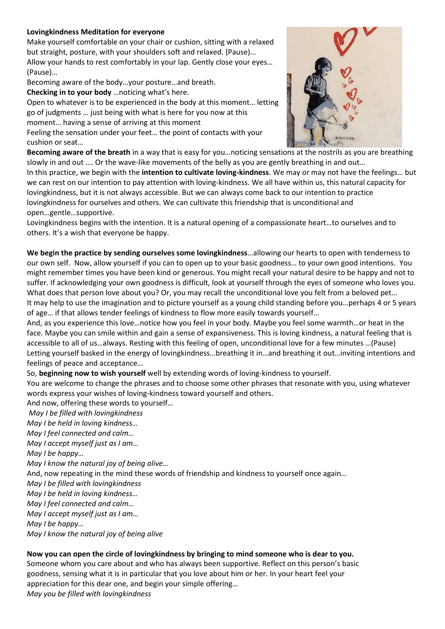## **Lovingkindness Meditation for everyone**

Make yourself comfortable on your chair or cushion, sitting with a relaxed but straight, posture, with your shoulders soft and relaxed. (Pause)… Allow your hands to rest comfortably in your lap. Gently close your eyes… (Pause)…

Becoming aware of the body…your posture…and breath.

**Checking in to your body** …noticing what's here.

Open to whatever is to be experienced in the body at this moment… letting go of judgments … just being with what is here for you now at this

moment… having a sense of arriving at this moment Feeling the sensation under your feet… the point of contacts with your cushion or seat…



**Becoming aware of the breath** in a way that is easy for you…noticing sensations at the nostrils as you are breathing slowly in and out …. Or the wave-like movements of the belly as you are gently breathing in and out… In this practice, we begin with the **intention to cultivate loving-kindness**. We may or may not have the feelings… but we can rest on our intention to pay attention with loving-kindness. We all have within us, this natural capacity for lovingkindness, but it is not always accessible. But we can always come back to our intention to practice lovingkindness for ourselves and others. We can cultivate this friendship that is unconditional and

open…gentle…supportive.

Lovingkindness begins with the intention. It is a natural opening of a compassionate heart…to ourselves and to others. It's a wish that everyone be happy.

**We begin the practice by sending ourselves some lovingkindness**…allowing our hearts to open with tenderness to our own self. Now, allow yourself if you can to open up to your basic goodness… to your own good intentions. You might remember times you have been kind or generous. You might recall your natural desire to be happy and not to suffer. If acknowledging your own goodness is difficult, look at yourself through the eyes of someone who loves you. What does that person love about you? Or, you may recall the unconditional love you felt from a beloved pet... It may help to use the imagination and to picture yourself as a young child standing before you…perhaps 4 or 5 years of age… if that allows tender feelings of kindness to flow more easily towards yourself…

And, as you experience this love…notice how you feel in your body. Maybe you feel some warmth…or heat in the face. Maybe you can smile within and gain a sense of expansiveness. This is loving kindness, a natural feeling that is accessible to all of us…always. Resting with this feeling of open, unconditional love for a few minutes …(Pause) Letting yourself basked in the energy of lovingkindness…breathing it in…and breathing it out…inviting intentions and feelings of peace and acceptance…

So, **beginning now to wish yourself** well by extending words of loving-kindness to yourself.

You are welcome to change the phrases and to choose some other phrases that resonate with you, using whatever words express your wishes of loving-kindness toward yourself and others.

And now, offering these words to yourself…

*May I be filled with lovingkindness*

*May I be held in loving kindness…*

*May I feel connected and calm…*

*May I accept myself just as I am…*

*May I be happy…*

*May I know the natural joy of being alive…*

And, now repeating in the mind these words of friendship and kindness to yourself once again…

*May I be filled with lovingkindness*

*May I be held in loving kindness…*

*May I feel connected and calm…*

*May I accept myself just as I am…*

*May I be happy…*

*May I know the natural joy of being alive*

## **Now you can open the circle of lovingkindness by bringing to mind someone who is dear to you.**

Someone whom you care about and who has always been supportive. Reflect on this person's basic goodness, sensing what it is in particular that you love about him or her. In your heart feel your appreciation for this dear one, and begin your simple offering…

*May you be filled with lovingkindness*